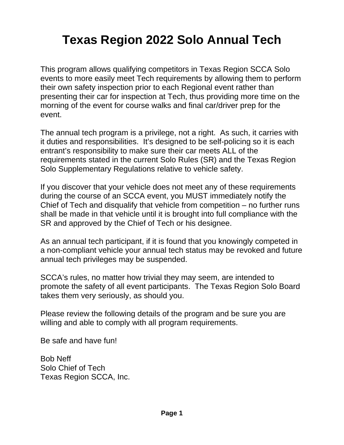# **Texas Region 2022 Solo Annual Tech**

This program allows qualifying competitors in Texas Region SCCA Solo events to more easily meet Tech requirements by allowing them to perform their own safety inspection prior to each Regional event rather than presenting their car for inspection at Tech, thus providing more time on the morning of the event for course walks and final car/driver prep for the event.

The annual tech program is a privilege, not a right. As such, it carries with it duties and responsibilities. It's designed to be self-policing so it is each entrant's responsibility to make sure their car meets ALL of the requirements stated in the current Solo Rules (SR) and the Texas Region Solo Supplementary Regulations relative to vehicle safety.

If you discover that your vehicle does not meet any of these requirements during the course of an SCCA event, you MUST immediately notify the Chief of Tech and disqualify that vehicle from competition – no further runs shall be made in that vehicle until it is brought into full compliance with the SR and approved by the Chief of Tech or his designee.

As an annual tech participant, if it is found that you knowingly competed in a non-compliant vehicle your annual tech status may be revoked and future annual tech privileges may be suspended.

SCCA's rules, no matter how trivial they may seem, are intended to promote the safety of all event participants. The Texas Region Solo Board takes them very seriously, as should you.

Please review the following details of the program and be sure you are willing and able to comply with all program requirements.

Be safe and have fun!

Bob Neff Solo Chief of Tech Texas Region SCCA, Inc.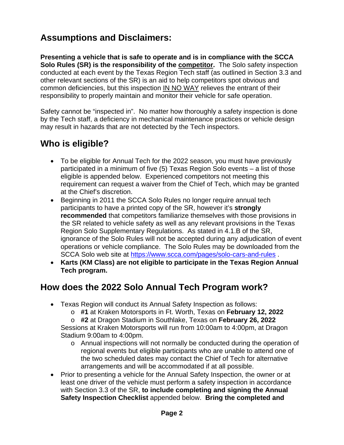# **Assumptions and Disclaimers:**

**Presenting a vehicle that is safe to operate and is in compliance with the SCCA Solo Rules (SR) is the responsibility of the competitor.** The Solo safety inspection conducted at each event by the Texas Region Tech staff (as outlined in Section 3.3 and other relevant sections of the SR) is an aid to help competitors spot obvious and common deficiencies, but this inspection IN NO WAY relieves the entrant of their responsibility to properly maintain and monitor their vehicle for safe operation.

Safety cannot be "inspected in". No matter how thoroughly a safety inspection is done by the Tech staff, a deficiency in mechanical maintenance practices or vehicle design may result in hazards that are not detected by the Tech inspectors.

# **Who is eligible?**

- To be eligible for Annual Tech for the 2022 season, you must have previously participated in a minimum of five (5) Texas Region Solo events – a list of those eligible is appended below. Experienced competitors not meeting this requirement can request a waiver from the Chief of Tech, which may be granted at the Chief's discretion.
- Beginning in 2011 the SCCA Solo Rules no longer require annual tech participants to have a printed copy of the SR, however it's **strongly recommended** that competitors familiarize themselves with those provisions in the SR related to vehicle safety as well as any relevant provisions in the Texas Region Solo Supplementary Regulations. As stated in 4.1.B of the SR, ignorance of the Solo Rules will not be accepted during any adjudication of event operations or vehicle compliance. The Solo Rules may be downloaded from the SCCA Solo web site at https://www.scca.com/pages/solo-cars-and-rules .
- **Karts (KM Class) are not eligible to participate in the Texas Region Annual Tech program.**

# **How does the 2022 Solo Annual Tech Program work?**

- Texas Region will conduct its Annual Safety Inspection as follows:
	- o **#1** at Kraken Motorsports in Ft. Worth, Texas on **February 12, 2022**
	- o **#2** at Dragon Stadium in Southlake, Texas on **February 26, 2022** Sessions at Kraken Motorsports will run from 10:00am to 4:00pm, at Dragon
	- Stadium 9:00am to 4:00pm. o Annual inspections will not normally be conducted during the operation of
		- regional events but eligible participants who are unable to attend one of the two scheduled dates may contact the Chief of Tech for alternative arrangements and will be accommodated if at all possible.
- Prior to presenting a vehicle for the Annual Safety Inspection, the owner or at least one driver of the vehicle must perform a safety inspection in accordance with Section 3.3 of the SR, **to include completing and signing the Annual Safety Inspection Checklist** appended below. **Bring the completed and**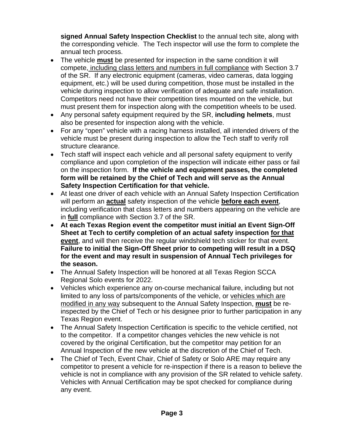**signed Annual Safety Inspection Checklist** to the annual tech site, along with the corresponding vehicle. The Tech inspector will use the form to complete the annual tech process.

- The vehicle **must** be presented for inspection in the same condition it will compete, including class letters and numbers in full compliance with Section 3.7 of the SR. If any electronic equipment (cameras, video cameras, data logging equipment, etc.) will be used during competition, those must be installed in the vehicle during inspection to allow verification of adequate and safe installation. Competitors need not have their competition tires mounted on the vehicle, but must present them for inspection along with the competition wheels to be used.
- Any personal safety equipment required by the SR, **including helmets**, must also be presented for inspection along with the vehicle.
- For any "open" vehicle with a racing harness installed, all intended drivers of the vehicle must be present during inspection to allow the Tech staff to verify roll structure clearance.
- Tech staff will inspect each vehicle and all personal safety equipment to verify compliance and upon completion of the inspection will indicate either pass or fail on the inspection form. **If the vehicle and equipment passes, the completed form will be retained by the Chief of Tech and will serve as the Annual Safety Inspection Certification for that vehicle.**
- At least one driver of each vehicle with an Annual Safety Inspection Certification will perform an **actual** safety inspection of the vehicle **before each event**, including verification that class letters and numbers appearing on the vehicle are in **full** compliance with Section 3.7 of the SR.
- **At each Texas Region event the competitor must initial an Event Sign-Off Sheet at Tech to certify completion of an actual safety inspection for that event**, and will then receive the regular windshield tech sticker for that event. **Failure to initial the Sign-Off Sheet prior to competing will result in a DSQ for the event and may result in suspension of Annual Tech privileges for the season.**
- The Annual Safety Inspection will be honored at all Texas Region SCCA Regional Solo events for 2022.
- Vehicles which experience any on-course mechanical failure, including but not limited to any loss of parts/components of the vehicle, or vehicles which are modified in any way subsequent to the Annual Safety Inspection, **must** be reinspected by the Chief of Tech or his designee prior to further participation in any Texas Region event.
- The Annual Safety Inspection Certification is specific to the vehicle certified, not to the competitor. If a competitor changes vehicles the new vehicle is not covered by the original Certification, but the competitor may petition for an Annual Inspection of the new vehicle at the discretion of the Chief of Tech.
- The Chief of Tech, Event Chair, Chief of Safety or Solo ARE may require any competitor to present a vehicle for re-inspection if there is a reason to believe the vehicle is not in compliance with any provision of the SR related to vehicle safety. Vehicles with Annual Certification may be spot checked for compliance during any event.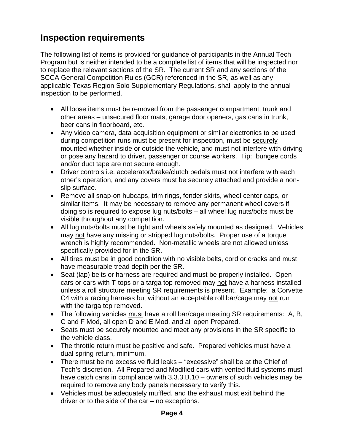# **Inspection requirements**

The following list of items is provided for guidance of participants in the Annual Tech Program but is neither intended to be a complete list of items that will be inspected nor to replace the relevant sections of the SR. The current SR and any sections of the SCCA General Competition Rules (GCR) referenced in the SR, as well as any applicable Texas Region Solo Supplementary Regulations, shall apply to the annual inspection to be performed.

- All loose items must be removed from the passenger compartment, trunk and other areas – unsecured floor mats, garage door openers, gas cans in trunk, beer cans in floorboard, etc.
- Any video camera, data acquisition equipment or similar electronics to be used during competition runs must be present for inspection, must be securely mounted whether inside or outside the vehicle, and must not interfere with driving or pose any hazard to driver, passenger or course workers. Tip: bungee cords and/or duct tape are not secure enough.
- Driver controls i.e. accelerator/brake/clutch pedals must not interfere with each other's operation, and any covers must be securely attached and provide a nonslip surface.
- Remove all snap-on hubcaps, trim rings, fender skirts, wheel center caps, or similar items. It may be necessary to remove any permanent wheel covers if doing so is required to expose lug nuts/bolts – all wheel lug nuts/bolts must be visible throughout any competition.
- All lug nuts/bolts must be tight and wheels safely mounted as designed. Vehicles may not have any missing or stripped lug nuts/bolts. Proper use of a torque wrench is highly recommended. Non-metallic wheels are not allowed unless specifically provided for in the SR.
- All tires must be in good condition with no visible belts, cord or cracks and must have measurable tread depth per the SR.
- Seat (lap) belts or harness are required and must be properly installed. Open cars or cars with T-tops or a targa top removed may not have a harness installed unless a roll structure meeting SR requirements is present. Example: a Corvette C4 with a racing harness but without an acceptable roll bar/cage may not run with the targa top removed.
- The following vehicles must have a roll bar/cage meeting SR requirements: A, B, C and F Mod, all open D and E Mod, and all open Prepared.
- Seats must be securely mounted and meet any provisions in the SR specific to the vehicle class.
- The throttle return must be positive and safe. Prepared vehicles must have a dual spring return, minimum.
- There must be no excessive fluid leaks "excessive" shall be at the Chief of Tech's discretion. All Prepared and Modified cars with vented fluid systems must have catch cans in compliance with 3.3.3.B.10 – owners of such vehicles may be required to remove any body panels necessary to verify this.
- Vehicles must be adequately muffled, and the exhaust must exit behind the driver or to the side of the car – no exceptions.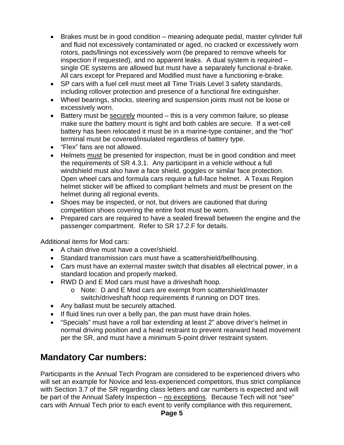- Brakes must be in good condition meaning adequate pedal, master cylinder full and fluid not excessively contaminated or aged, no cracked or excessively worn rotors, pads/linings not excessively worn (be prepared to remove wheels for inspection if requested), and no apparent leaks. A dual system is required – single OE systems are allowed but must have a separately functional e-brake. All cars except for Prepared and Modified must have a functioning e-brake.
- SP cars with a fuel cell must meet all Time Trials Level 3 safety standards, including rollover protection and presence of a functional fire extinguisher.
- Wheel bearings, shocks, steering and suspension joints must not be loose or excessively worn.
- **Battery must be securely mounted this is a very common failure, so please** make sure the battery mount is tight and both cables are secure. If a wet-cell battery has been relocated it must be in a marine-type container, and the "hot" terminal must be covered/insulated regardless of battery type.
- "Flex" fans are not allowed.
- Helmets must be presented for inspection, must be in good condition and meet the requirements of SR 4.3.1. Any participant in a vehicle without a full windshield must also have a face shield, goggles or similar face protection. Open wheel cars and formula cars require a full-face helmet. A Texas Region helmet sticker will be affixed to compliant helmets and must be present on the helmet during all regional events.
- Shoes may be inspected, or not, but drivers are cautioned that during competition shoes covering the entire foot must be worn.
- Prepared cars are required to have a sealed firewall between the engine and the passenger compartment. Refer to SR 17.2.F for details.

Additional items for Mod cars:

- A chain drive must have a cover/shield.
- Standard transmission cars must have a scattershield/bellhousing.
- Cars must have an external master switch that disables all electrical power, in a standard location and properly marked.
- RWD D and E Mod cars must have a driveshaft hoop.
	- o Note: D and E Mod cars are exempt from scattershield/master switch/driveshaft hoop requirements if running on DOT tires.
- Any ballast must be securely attached.
- If fluid lines run over a belly pan, the pan must have drain holes.
- "Specials" must have a roll bar extending at least 2" above driver's helmet in normal driving position and a head restraint to prevent rearward head movement per the SR, and must have a minimum 5-point driver restraint system.

# **Mandatory Car numbers:**

Participants in the Annual Tech Program are considered to be experienced drivers who will set an example for Novice and less-experienced competitors, thus strict compliance with Section 3.7 of the SR regarding class letters and car numbers is expected and will be part of the Annual Safety Inspection – no exceptions. Because Tech will not "see" cars with Annual Tech prior to each event to verify compliance with this requirement,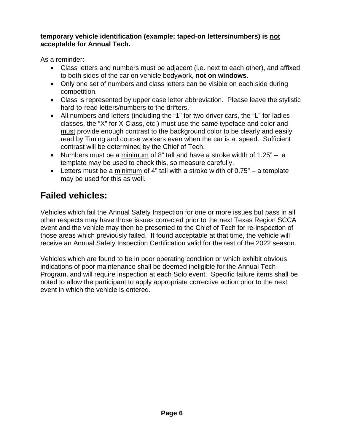## **temporary vehicle identification (example: taped-on letters/numbers) is not acceptable for Annual Tech.**

As a reminder:

- Class letters and numbers must be adjacent (i.e. next to each other), and affixed to both sides of the car on vehicle bodywork, **not on windows**.
- Only one set of numbers and class letters can be visible on each side during competition.
- Class is represented by upper case letter abbreviation. Please leave the stylistic hard-to-read letters/numbers to the drifters.
- All numbers and letters (including the "1" for two-driver cars, the "L" for ladies classes, the "X" for X-Class, etc.) must use the same typeface and color and must provide enough contrast to the background color to be clearly and easily read by Timing and course workers even when the car is at speed. Sufficient contrast will be determined by the Chief of Tech.
- Numbers must be a minimum of 8" tall and have a stroke width of  $1.25" a$ template may be used to check this, so measure carefully.
- Eletters must be a minimum of 4" tall with a stroke width of  $0.75"$  a template may be used for this as well.

# **Failed vehicles:**

Vehicles which fail the Annual Safety Inspection for one or more issues but pass in all other respects may have those issues corrected prior to the next Texas Region SCCA event and the vehicle may then be presented to the Chief of Tech for re-inspection of those areas which previously failed. If found acceptable at that time, the vehicle will receive an Annual Safety Inspection Certification valid for the rest of the 2022 season.

Vehicles which are found to be in poor operating condition or which exhibit obvious indications of poor maintenance shall be deemed ineligible for the Annual Tech Program, and will require inspection at each Solo event. Specific failure items shall be noted to allow the participant to apply appropriate corrective action prior to the next event in which the vehicle is entered.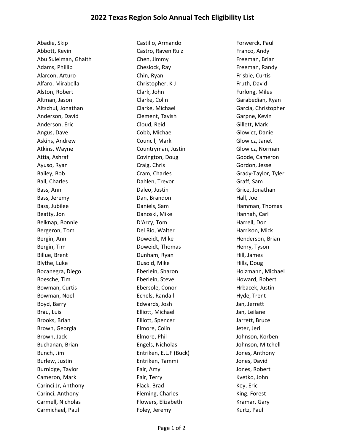Abadie, Skip Castillo, Armando Forwerck, Paul Abbott, Kevin **Castro, Raven Ruiz** Castro, Raven Ruiz Franco, Andy Abu Suleiman, Ghaith Chen, Jimmy Freeman, Brian Adams, Phillip Cheslock, Ray Freeman, Randy Cheslock, Ray Freeman, Randy Alarcon, Arturo **Chin, Ryan Frisbie, Curtis** Chin, Ryan Frisbie, Curtis Alfaro, Mirabella **Christopher, K J** Fruth, David Alston, Robert **Clark, John Furlong, Miles** Clark, John Furlong, Miles Altman, Jason Clarke, Colin Garabedian, Ryan Altschul, Jonathan Clarke, Michael Garcia, Christopher Anderson, David **Clement, Tavish Garpne, Carpne, Carpne**, Kevin Anderson, Eric **Cloud, Reid** Cloud, Reid **Gillett, Mark** Angus, Dave Cobb, Michael Glowicz, Daniel Askins, Andrew **Council, Mark** Guncil, Mark Glowicz, Janet Atkins, Wayne Countryman, Justin Glowicz, Norman Attia, Ashraf **Covington, Doug Coving Coving Coving Coving Coving Coving Coving Coving Coving Coving Coving Coving Coving Coving Coving Coving Coving Coving Coving Coving Coving Coving Coving Coving Coving Coving Coving Co** Ayuso, Ryan Craig, Chris Craig, Chris Craig, Chris Gordon, Jesse Bailey, Bob Cram, Charles Grady-Taylor, Tyler Ball, Charles **Dahlen, Trevor** Graff, Sam Bass, Ann **Daleo, Justin Grice, Jonathan** Bass, Ann Bass, Jeremy **Dan, Brandon** Hall, Joel **Hall**, Joel **Hall** Bass, Jubilee **Daniels, Sam Hamman, Thomas** Daniels, Sam Hamman, Thomas Beatty, Jon **Danoski, Mike** Hannah, Carl Beatty, Jon Belknap, Bonnie and D'Arcy, Tom and Harrell, Don Bergeron, Tom **Del Rio, Walter Harrison, Mick** Bergin, Ann **Brookerson, Briannia, Brookerson, Briannia**, Doweidt, Mike **Henderson, Briannia, American**, Briannia Bergin, Tim **Example 20 Times Convention** Doweidt, Thomas **Henry, Tyson** Billue, Brent **Dunham, Ryan** Dunham, Ryan Hill, James Blythe, Luke **Dusold, Mike Dusold, Mike** Hills, Doug Bocanegra, Diego **Eberlein, Sharon Eberlein, Sharon** Holzmann, Michael Boesche, Tim **Eberlein, Steve** Howard, Robert Bowman, Curtis **Ebersole, Conor** Free Hrbacek, Justin Bowman, Noel **Echels, Randall** Hyde, Trent Hyde, Trent Boyd, Barry Edwards, Josh Jan, Jerrett Brau, Luis **Elliott, Michael Inc. Accompanying Contract Contract Contract Contract Contract Contract Contract Contract Contract Contract Contract Contract Contract Contract Contract Contract Contract Contract Contract Cont** Brooks, Brian and Elliott, Spencer and Harrett, Bruce Brown, Georgia **Elmore, Colin** Elmore, Colin Jeter, Jeri Brown, Jack Elmore, Phil Johnson, Korben Buchanan, Brian Engels, Nicholas Johnson, Mitchell Bunch, Jim Entriken, E.L.F (Buck) Jones, Anthony Burlew, Justin **Entriken, Tammi** Jones, David Burnidge, Taylor **Fair, Amy Communist Communist Exc**ent Connect American Connect American Connect American Connect Cameron, Mark Fair, Terry Theory Cameron, Mark Fair, Terry Terry Research Assembly Research Assembly Research Carinci Jr, Anthony **Flack, Brad** Flack, Brad Key, Eric Carinci, Anthony **Fleming, Charles** Fleming, Charles King, Forest Carmell, Nicholas **Flowers, Elizabeth** Kramar, Gary

Carmichael, Paul Foley, Jeremy Carmichael, Paul Foley, Jeremy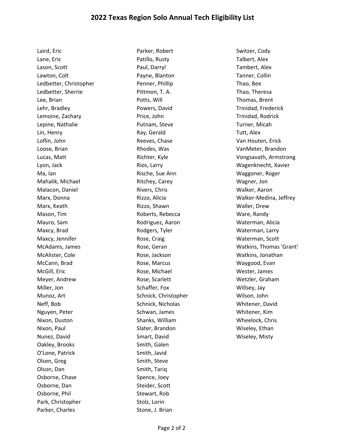Laird, Eric **Carlos Educate Contract Contract Parker, Robert Cody** Switzer, Cody Lane, Eric Patillo, Rusty Talbert, Alex Lason, Scott Paul, Darryl Tambert, Alex Lawton, Colt Payne, Blanton Tanner, Collin Ledbetter, Christopher Penner, Phillip Thao, Bee Ledbetter, Sherrie Pittmon, T. A. Thao, Theresa Lee, Brian Potts, Will Thomas, Brent Lehr, Bradley Powers, David Trinidad, Frederick Lemoine, Zachary **Price, John** Price, John Trinidad, Rodrick Lepine, Nathalie **Nationalism Community Community** Putnam, Steve Turner, Micah Turner, Micah Lin, Henry **Ray, Gerald** European Tutt, Alex Loflin, John Reeves, Chase Van Houten, Erick Loose, Brian Rhodes, Was VanMeter, Brandon Ma, Ian Rische, Sue Ann Waggoner, Roger Mahalik, Michael **Ritchey, Carey Carey Ritchey, Carey Ritchey**, Carey Mahalik, Magner, Jon Malacon, Daniel **Rivers, Chris Walker, Aaron** Rivers, Chris Walker, Aaron Marx, Keath **Rizzo, Shawn** Rizzo, Shawn Waller, Drew Mason, Tim **National Community Contract Contract Contract Contract Contract Contract Contract Contract Contract Contract Contract Contract Contract Contract Contract Contract Contract Contract Contract Contract Contract Co** Mauro, Sam Rodriguez, Aaron Waterman, Alicia Maxcy, Brad **Maxcy, Brad Construction Construction** Rodgers, Tyler Maxcossett Materman, Larry Maxcy, Jennifer **Rose, Craig Waterman**, Scott Waterman, Scott McAlister, Cole Rose, Jackson Watkins, Jonathan McCann, Brad Rose, Marcus Waygood, Evan McGill, Eric Rose, Michael Wester, James Meyer, Andrew **Rose, Scarlett** Meyer, Andrew Wetzler, Graham Miller, Jon **Schaffer, Fox** Schaffer, Fox **Willsey**, Jay Munoz, Art Schnick, Christopher Wilson, John Neff, Bob Schnick, Nicholas Whitener, David Nguyen, Peter Schwan, James Manusch Whitener, Kim Nixon, Duston Shanks, William Wheelock, Chris Nixon, Paul Slater, Brandon Wiseley, Ethan Nunez, David **Nunez, David Smart, David Communist Communist Communist Communist Communist Communist Communist Communist Communist Communist Communist Communist Communist Communist Communist Communist Communist Communist Co** Oakley, Brooks Smith, Galen O'Lone, Patrick Smith, Javid Olsen, Greg Smith, Steve Olson, Dan Smith, Tariq Osborne, Chase Spence, Joey Osborne, Dan Steider, Scott Osborne, Phil Stewart, Rob Park, Christopher Stolz, Lorin

Parker, Charles Stone, J. Brian

Lucas, Matt Richter, Kyle Vongsavath, Armstrong Lyon, Jack Rios, Larry Wagenknecht, Xavier Marx, Donna Rizzo, Alicia Walker‐Medina, Jeffrey McAdams, James **Rose, Geran** Rose, Geran Watkins, Thomas 'Grant'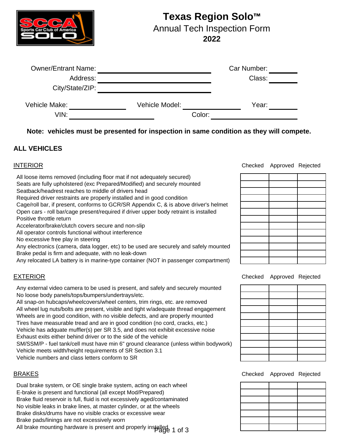

# **Texas Region Solo™**

Annual Tech Inspection Form

**2022**

| <b>Owner/Entrant Name:</b> |                | Car Number: |  |
|----------------------------|----------------|-------------|--|
| Address:                   |                | Class:      |  |
| City/State/ZIP:            |                |             |  |
| Vehicle Make:              | Vehicle Model: | Year:       |  |
| VIN:                       |                | Color:      |  |

**Note: vehicles must be presented for inspection in same condition as they will compete.**

# **ALL VEHICLES**

### INTERIOR

 All loose items removed (including floor mat if not adequately secured) Seats are fully upholstered (exc Prepared/Modified) and securely mounted Seatback/headrest reaches to middle of drivers head Required driver restraints are properly installed and in good condition Cage/roll bar, if present, conforms to GCR/SR Appendix C, & is above driver's helmet Positive throttle return Open cars - roll bar/cage present/required if driver upper body retraint is installed

Accelerator/brake/clutch covers secure and non-slip

All operator controls functional without interference

No excessive free play in steering

 Brake pedal is firm and adequate, with no leak-down Any electronics (camera, data logger, etc) to be used are securely and safely mounted

Any relocated LA battery is in marine-type container (NOT in passenger compartment)

### EXTERIOR

 No loose body panels/tops/bumpers/undertrays/etc. Any external video camera to be used is present, and safely and securely mounted

 Vehicle meets width/height requirements of SR Section 3.1 Vehicle numbers and class letters conform to SR All snap-on hubcaps/wheelcovers/wheel centers, trim rings, etc. are removed All wheel lug nuts/bolts are present, visible and tight w/adequate thread engagement Wheels are in good condition, with no visible defects, and are properly mounted Tires have measurable tread and are in good condition (no cord, cracks, etc.) Vehicle has adquate muffler(s) per SR 3.5, and does not exhibit excessive noise Exhaust exits either behind driver or to the side of the vehicle SM/SSM/P - fuel tank/cell must have min 6" ground clearance (unless within bodywork)

### BRAKES

 Brake pads/linings are not excessively worn Dual brake system, or OE single brake system, acting on each wheel Brake fluid reservoir is full, fluid is not excessively aged/contaminated No visible leaks in brake lines, at master cylinder, or at the wheels Brake disks/drums have no visible cracks or excessive wear E-brake is present and functional (all except Mod/Prepared)

All brake mounting hardware is present and properly installed Page 1 of 3

Checked Approved Rejected

Checked Approved Rejected

Checked Approved Rejected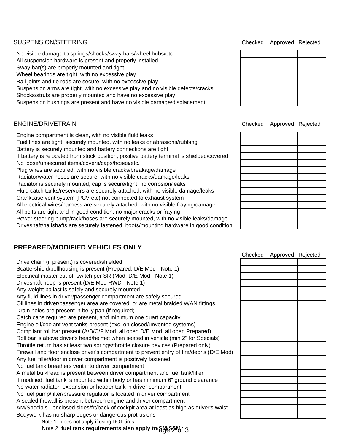#### SUSPENSION/STEERING

 Ball joints and tie rods are secure, with no excessive play Suspension arms are tight, with no excessive play and no visible defects/cracks Shocks/struts are properly mounted and have no excessive play Suspension bushings are present and have no visible damage/displacement No visible damage to springs/shocks/sway bars/wheel hubs/etc. All suspension hardware is present and properly installed Sway bar(s) are properly mounted and tight Wheel bearings are tight, with no excessive play

### ENGINE/DRIVETRAIN

 Crankcase vent system (PCV etc) not connected to exhaust system Radiator is securely mounted, cap is secure/tight, no corrosion/leaks Driveshaft/halfshafts are securely fastened, boots/mounting hardware in good condition Fluid catch tanks/reservoirs are securely attached, with no visible damage/leaks All electrical wires/harness are securely attached, with no visible fraying/damage All belts are tight and in good condition, no major cracks or fraying Power steering pump/rack/hoses are securely mounted, with no visible leaks/damage If battery is relocated from stock position, positive battery terminal is shielded/covered No loose/unsecured items/covers/caps/hoses/etc. Plug wires are secured, with no visible cracks/breakage/damage Radiator/water hoses are secure, with no visible cracks/damage/leaks Engine compartment is clean, with no visible fluid leaks Fuel lines are tight, securely mounted, with no leaks or abrasions/rubbing Battery is securely mounted and battery connections are tight

### **PREPARED/MODIFIED VEHICLES ONLY**

 AM/Specials - enclosed sides/frt/back of cockpit area at least as high as driver's waist Catch cans required are present, and minimum one quart capacity Compliant roll bar present (A/B/C/F Mod, all open D/E Mod, all open Prepared) Throttle return has at least two springs/throttle closure devices (Prepared only) Roll bar is above driver's head/helmet when seated in vehicle (min 2" for Specials) A sealed firewall is present between engine and driver compartment Drive chain (if present) is covered/shielded No fuel tank breathers vent into driver compartment Scattershield/bellhousing is present (Prepared, D/E Mod - Note 1) Electrical master cut-off switch per SR (Mod, D/E Mod - Note 1) Driveshaft hoop is present (D/E Mod RWD - Note 1) Any weight ballast is safely and securely mounted Any fluid lines in driver/passenger compartment are safely secured Oil lines in driver/passenger area are covered, or are metal braided w/AN fittings Drain holes are present in belly pan (if required) No fuel pump/filter/pressure regulator is located in driver compartment No water radiator, expansion or header tank in driver compartment Firewall and floor enclose driver's compartment to prevent entry of fire/debris (D/E Mod) If modified, fuel tank is mounted within body or has minimum 6" ground clearance A metal bulkhead is present between driver compartment and fuel tank/filler Engine oil/coolant vent tanks present (exc. on closed/unvented systems) Any fuel filler/door in driver compartment is positively fastened Bodywork has no sharp edges or dangerous protrusions

Note 1: does not apply if using DOT tires

Note 2: fuel tank requirements also apply t**<sub>ዎ</sub>§ሠሪያ≶**M<sub>o</sub>f 3

Checked Approved Rejected

Checked Approved Rejected

| Checked Approved Rejected |  |
|---------------------------|--|
|                           |  |
|                           |  |
|                           |  |
|                           |  |
|                           |  |
|                           |  |
|                           |  |
|                           |  |
|                           |  |
|                           |  |
|                           |  |
|                           |  |
|                           |  |
|                           |  |
|                           |  |
|                           |  |
|                           |  |
|                           |  |
|                           |  |
|                           |  |
|                           |  |
|                           |  |
|                           |  |